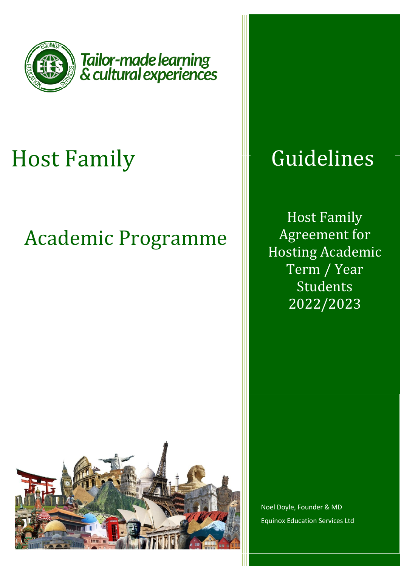

Tailor-made learning<br>& cultural experiences

# Host Family

# Academic Programme



Host Family Agreement for Hosting Academic Term / Year Students 2022/2023



Noel Doyle, Founder & MD Equinox Education Services Ltd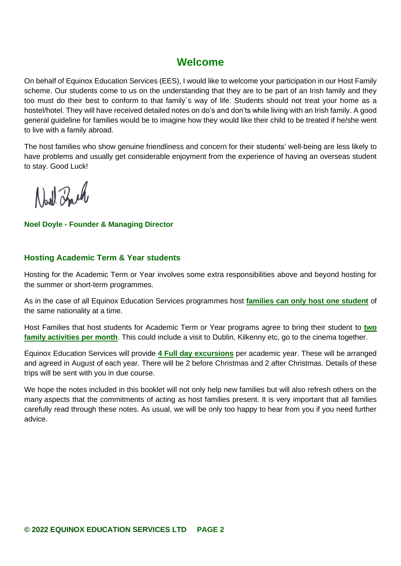## **Welcome**

On behalf of Equinox Education Services (EES), I would like to welcome your participation in our Host Family scheme. Our students come to us on the understanding that they are to be part of an Irish family and they too must do their best to conform to that family´s way of life. Students should not treat your home as a hostel/hotel. They will have received detailed notes on do's and don'ts while living with an Irish family. A good general guideline for families would be to imagine how they would like their child to be treated if he/she went to live with a family abroad.

The host families who show genuine friendliness and concern for their students' well-being are less likely to have problems and usually get considerable enjoyment from the experience of having an overseas student to stay. Good Luck!

North Zouch

**Noel Doyle - Founder & Managing Director** 

### **Hosting Academic Term & Year students**

Hosting for the Academic Term or Year involves some extra responsibilities above and beyond hosting for the summer or short-term programmes.

As in the case of all Equinox Education Services programmes host **families can only host one student** of the same nationality at a time.

Host Families that host students for Academic Term or Year programs agree to bring their student to **two family activities per month**. This could include a visit to Dublin, Kilkenny etc, go to the cinema together.

Equinox Education Services will provide **4 Full day excursions** per academic year. These will be arranged and agreed in August of each year. There will be 2 before Christmas and 2 after Christmas. Details of these trips will be sent with you in due course.

We hope the notes included in this booklet will not only help new families but will also refresh others on the many aspects that the commitments of acting as host families present. It is very important that all families carefully read through these notes. As usual, we will be only too happy to hear from you if you need further advice.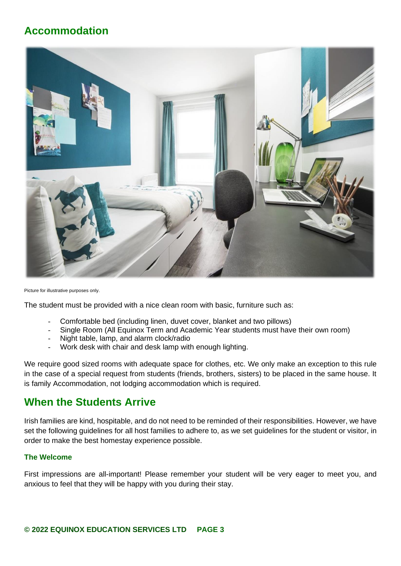## **Accommodation**



Picture for illustrative purposes only.

The student must be provided with a nice clean room with basic, furniture such as:

- Comfortable bed (including linen, duvet cover, blanket and two pillows)
- Single Room (All Equinox Term and Academic Year students must have their own room)
- Night table, lamp, and alarm clock/radio
- Work desk with chair and desk lamp with enough lighting.

We require good sized rooms with adequate space for clothes, etc. We only make an exception to this rule in the case of a special request from students (friends, brothers, sisters) to be placed in the same house. It is family Accommodation, not lodging accommodation which is required.

## **When the Students Arrive**

Irish families are kind, hospitable, and do not need to be reminded of their responsibilities. However, we have set the following guidelines for all host families to adhere to, as we set guidelines for the student or visitor, in order to make the best homestay experience possible.

#### **The Welcome**

First impressions are all-important! Please remember your student will be very eager to meet you, and anxious to feel that they will be happy with you during their stay.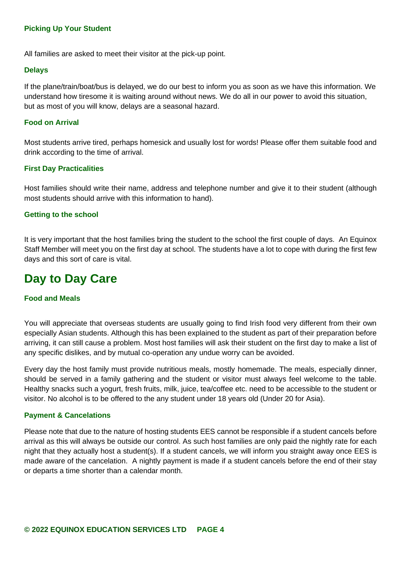#### **Picking Up Your Student**

All families are asked to meet their visitor at the pick-up point.

#### **Delays**

If the plane/train/boat/bus is delayed, we do our best to inform you as soon as we have this information. We understand how tiresome it is waiting around without news. We do all in our power to avoid this situation, but as most of you will know, delays are a seasonal hazard.

#### **Food on Arrival**

Most students arrive tired, perhaps homesick and usually lost for words! Please offer them suitable food and drink according to the time of arrival.

#### **First Day Practicalities**

Host families should write their name, address and telephone number and give it to their student (although most students should arrive with this information to hand).

#### **Getting to the school**

It is very important that the host families bring the student to the school the first couple of days. An Equinox Staff Member will meet you on the first day at school. The students have a lot to cope with during the first few days and this sort of care is vital.

# **Day to Day Care**

#### **Food and Meals**

You will appreciate that overseas students are usually going to find Irish food very different from their own especially Asian students. Although this has been explained to the student as part of their preparation before arriving, it can still cause a problem. Most host families will ask their student on the first day to make a list of any specific dislikes, and by mutual co-operation any undue worry can be avoided.

Every day the host family must provide nutritious meals, mostly homemade. The meals, especially dinner, should be served in a family gathering and the student or visitor must always feel welcome to the table. Healthy snacks such a yogurt, fresh fruits, milk, juice, tea/coffee etc. need to be accessible to the student or visitor. No alcohol is to be offered to the any student under 18 years old (Under 20 for Asia).

#### **Payment & Cancelations**

Please note that due to the nature of hosting students EES cannot be responsible if a student cancels before arrival as this will always be outside our control. As such host families are only paid the nightly rate for each night that they actually host a student(s). If a student cancels, we will inform you straight away once EES is made aware of the cancelation. A nightly payment is made if a student cancels before the end of their stay or departs a time shorter than a calendar month.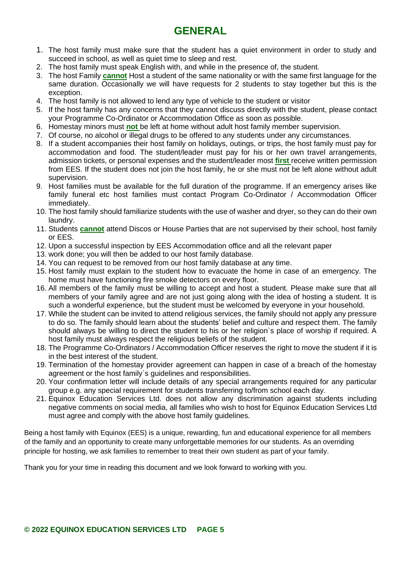## **GENERAL**

- 1. The host family must make sure that the student has a quiet environment in order to study and succeed in school, as well as quiet time to sleep and rest.
- 2. The host family must speak English with, and while in the presence of, the student.
- 3. The host Family **cannot** Host a student of the same nationality or with the same first language for the same duration. Occasionally we will have requests for 2 students to stay together but this is the exception.
- 4. The host family is not allowed to lend any type of vehicle to the student or visitor
- 5. If the host family has any concerns that they cannot discuss directly with the student, please contact your Programme Co-Ordinator or Accommodation Office as soon as possible.
- 6. Homestay minors must **not** be left at home without adult host family member supervision.
- 7. Of course, no alcohol or illegal drugs to be offered to any students under any circumstances.
- 8. If a student accompanies their host family on holidays, outings, or trips, the host family must pay for accommodation and food. The student/leader must pay for his or her own travel arrangements, admission tickets, or personal expenses and the student/leader most **first** receive written permission from EES. If the student does not join the host family, he or she must not be left alone without adult supervision.
- 9. Host families must be available for the full duration of the programme. If an emergency arises like family funeral etc host families must contact Program Co-Ordinator / Accommodation Officer immediately.
- 10. The host family should familiarize students with the use of washer and dryer, so they can do their own laundry.
- 11. Students **cannot** attend Discos or House Parties that are not supervised by their school, host family or EES.
- 12. Upon a successful inspection by EES Accommodation office and all the relevant paper
- 13. work done; you will then be added to our host family database.
- 14. You can request to be removed from our host family database at any time.
- 15. Host family must explain to the student how to evacuate the home in case of an emergency. The home must have functioning fire smoke detectors on every floor.
- 16. All members of the family must be willing to accept and host a student. Please make sure that all members of your family agree and are not just going along with the idea of hosting a student. It is such a wonderful experience, but the student must be welcomed by everyone in your household.
- 17. While the student can be invited to attend religious services, the family should not apply any pressure to do so. The family should learn about the students' belief and culture and respect them. The family should always be willing to direct the student to his or her religion`s place of worship if required. A host family must always respect the religious beliefs of the student.
- 18. The Programme Co-Ordinators / Accommodation Officer reserves the right to move the student if it is in the best interest of the student.
- 19. Termination of the homestay provider agreement can happen in case of a breach of the homestay agreement or the host family`s guidelines and responsibilities.
- 20. Your confirmation letter will include details of any special arrangements required for any particular group e.g. any special requirement for students transferring to/from school each day.
- 21. Equinox Education Services Ltd. does not allow any discrimination against students including negative comments on social media, all families who wish to host for Equinox Education Services Ltd must agree and comply with the above host family guidelines.

Being a host family with Equinox (EES) is a unique, rewarding, fun and educational experience for all members of the family and an opportunity to create many unforgettable memories for our students. As an overriding principle for hosting, we ask families to remember to treat their own student as part of your family.

Thank you for your time in reading this document and we look forward to working with you.